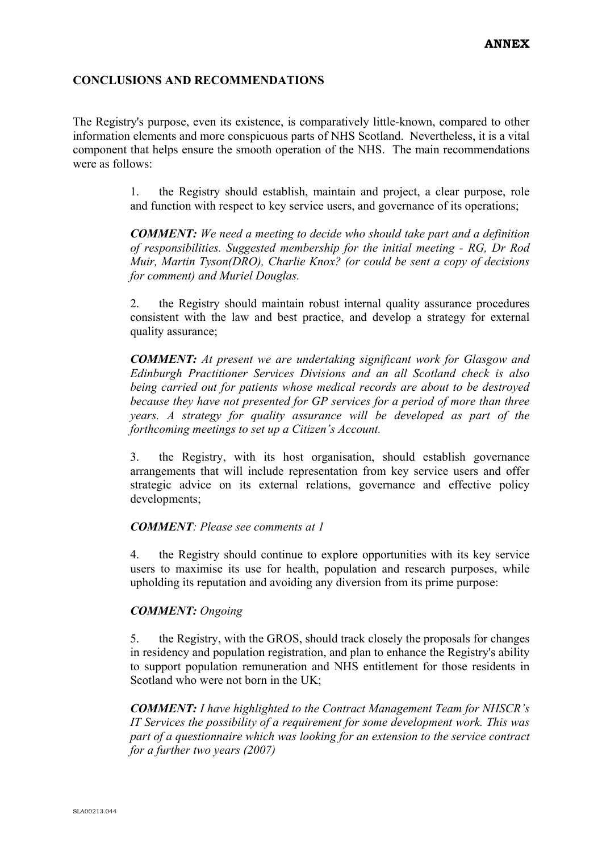## **CONCLUSIONS AND RECOMMENDATIONS**

The Registry's purpose, even its existence, is comparatively little-known, compared to other information elements and more conspicuous parts of NHS Scotland. Nevertheless, it is a vital component that helps ensure the smooth operation of the NHS. The main recommendations were as follows:

> 1. the Registry should establish, maintain and project, a clear purpose, role and function with respect to key service users, and governance of its operations;

> *COMMENT: We need a meeting to decide who should take part and a definition of responsibilities. Suggested membership for the initial meeting - RG, Dr Rod Muir, Martin Tyson(DRO), Charlie Knox? (or could be sent a copy of decisions for comment) and Muriel Douglas.*

> 2. the Registry should maintain robust internal quality assurance procedures consistent with the law and best practice, and develop a strategy for external quality assurance;

> *COMMENT: At present we are undertaking significant work for Glasgow and Edinburgh Practitioner Services Divisions and an all Scotland check is also being carried out for patients whose medical records are about to be destroyed because they have not presented for GP services for a period of more than three years. A strategy for quality assurance will be developed as part of the forthcoming meetings to set up a Citizen's Account.*

> 3. the Registry, with its host organisation, should establish governance arrangements that will include representation from key service users and offer strategic advice on its external relations, governance and effective policy developments;

## *COMMENT: Please see comments at 1*

4. the Registry should continue to explore opportunities with its key service users to maximise its use for health, population and research purposes, while upholding its reputation and avoiding any diversion from its prime purpose:

## *COMMENT: Ongoing*

5. the Registry, with the GROS, should track closely the proposals for changes in residency and population registration, and plan to enhance the Registry's ability to support population remuneration and NHS entitlement for those residents in Scotland who were not born in the UK;

*COMMENT: I have highlighted to the Contract Management Team for NHSCR's IT Services the possibility of a requirement for some development work. This was part of a questionnaire which was looking for an extension to the service contract for a further two years (2007)*